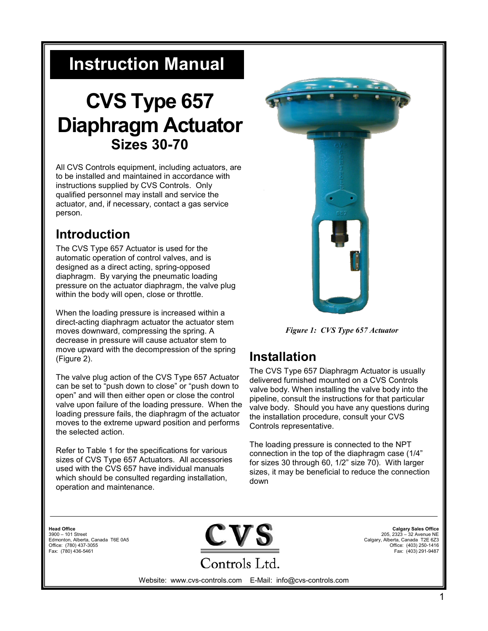# **Instruction Manual**

# **CVS Type 657 Diaphragm Actuator Sizes 30-70**

All CVS Controls equipment, including actuators, are to be installed and maintained in accordance with instructions supplied by CVS Controls. Only qualified personnel may install and service the actuator, and, if necessary, contact a gas service person.

# **Introduction**

The CVS Type 657 Actuator is used for the automatic operation of control valves, and is designed as a direct acting, spring-opposed diaphragm. By varying the pneumatic loading pressure on the actuator diaphragm, the valve plug within the body will open, close or throttle.

When the loading pressure is increased within a direct-acting diaphragm actuator the actuator stem moves downward, compressing the spring. A decrease in pressure will cause actuator stem to move upward with the decompression of the spring (Figure 2).

The valve plug action of the CVS Type 657 Actuator can be set to "push down to close" or "push down to open" and will then either open or close the control valve upon failure of the loading pressure. When the loading pressure fails, the diaphragm of the actuator moves to the extreme upward position and performs the selected action.

Refer to Table 1 for the specifications for various sizes of CVS Type 657 Actuators. All accessories used with the CVS 657 have individual manuals which should be consulted regarding installation, operation and maintenance.



*Figure 1: CVS Type 657 Actuator*

# **Installation**

The CVS Type 657 Diaphragm Actuator is usually delivered furnished mounted on a CVS Controls valve body. When installing the valve body into the pipeline, consult the instructions for that particular valve body. Should you have any questions during the installation procedure, consult your CVS Controls representative.

The loading pressure is connected to the NPT connection in the top of the diaphragm case (1/4" for sizes 30 through 60, 1/2" size 70). With larger sizes, it may be beneficial to reduce the connection down

**Head Office** 3900 – 101 Street Edmonton, Alberta, Canada T6E 0A5 Office: (780) 437-3055 Fax: (780) 436-5461



**Calgary Sales Office** 205, 2323 – 32 Avenue NE Calgary, Alberta, Canada T2E 6Z3 Office: (403) 250-1416 Fax: (403) 291-9487

Website: www.cvs-controls.com E-Mail: info@cvs-controls.com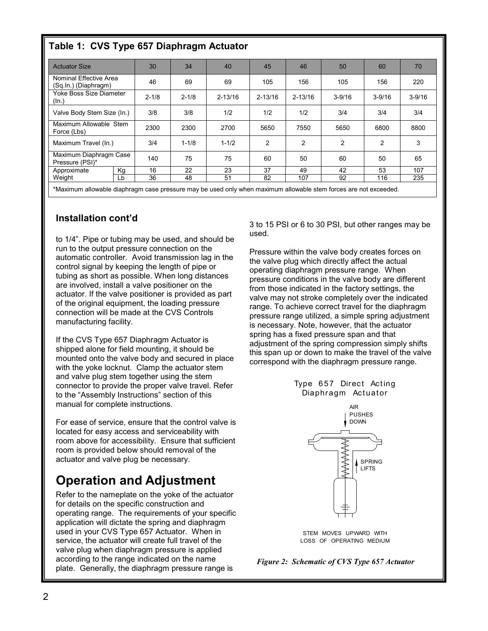### **Table 1: CVS Type 657 Diaphragm Actuator**

| <b>Actuator Size</b>                           | 30        | 34        | 40          | 45             | 46             | 50             | 60             | 70         |
|------------------------------------------------|-----------|-----------|-------------|----------------|----------------|----------------|----------------|------------|
| Nominal Effective Area<br>(Sq.In.) (Diaphragm) | 46        | 69        | 69          | 105            | 156            | 105            | 156            | 220        |
| Yoke Boss Size Diameter<br>(ln.)               | $2 - 1/8$ | $2 - 1/8$ | $2 - 13/16$ | $2 - 13/16$    | $2 - 13/16$    | $3 - 9/16$     | $3 - 9/16$     | $3 - 9/16$ |
| Valve Body Stem Size (In.)                     | 3/8       | 3/8       | 1/2         | 1/2            | 1/2            | 3/4            | 3/4            | 3/4        |
| Maximum Allowable Stem<br>Force (Lbs)          | 2300      | 2300      | 2700        | 5650           | 7550           | 5650           | 6800           | 8800       |
| Maximum Travel (In.)                           | 3/4       | $1 - 1/8$ | $1 - 1/2$   | $\overline{2}$ | $\overline{2}$ | $\overline{2}$ | $\overline{2}$ | 3          |
| Maximum Diaphragm Case<br>Pressure (PSI)*      | 140       | 75        | 75          | 60             | 50             | 60             | 50             | 65         |
| Кg<br>Approximate                              | 16        | 22        | 23          | 37             | 49             | 42             | 53             | 107        |
| Weight<br>Lb                                   | 36        | 48        | 51          | 82             | 107            | 92             | 116            | 235        |

\*Maximum allowable diaphragm case pressure may be used only when maximum allowable stem forces are not exceeded.

#### **Installation cont'd**

to 1/4". Pipe or tubing may be used, and should be run to the output pressure connection on the automatic controller. Avoid transmission lag in the control signal by keeping the length of pipe or tubing as short as possible. When long distances are involved, install a valve positioner on the actuator. If the valve positioner is provided as part of the original equipment, the loading pressure connection will be made at the CVS Controls manufacturing facility.

If the CVS Type 657 Diaphragm Actuator is shipped alone for field mounting, it should be mounted onto the valve body and secured in place with the yoke locknut. Clamp the actuator stem and valve plug stem together using the stem connector to provide the proper valve travel. Refer to the "Assembly Instructions" section of this manual for complete instructions.

For ease of service, ensure that the control valve is located for easy access and serviceability with room above for accessibility. Ensure that sufficient room is provided below should removal of the actuator and valve plug be necessary.

# **Operation and Adjustment**

Refer to the nameplate on the yoke of the actuator for details on the specific construction and operating range. The requirements of your specific application will dictate the spring and diaphragm used in your CVS Type 657 Actuator. When in service, the actuator will create full travel of the valve plug when diaphragm pressure is applied according to the range indicated on the name plate. Generally, the diaphragm pressure range is

3 to 15 PSI or 6 to 30 PSI, but other ranges may be used.

Pressure within the valve body creates forces on the valve plug which directly affect the actual operating diaphragm pressure range. When pressure conditions in the valve body are different from those indicated in the factory settings, the valve may not stroke completely over the indicated range. To achieve correct travel for the diaphragm pressure range utilized, a simple spring adjustment is necessary. Note, however, that the actuator spring has a fixed pressure span and that adjustment of the spring compression simply shifts this span up or down to make the travel of the valve correspond with the diaphragm pressure range.



AIR



STEM MOVES UPWARD WITH LOSS OF OPERATING MEDIUM

*Figure 2: Schematic of CVS Type 657 Actuator*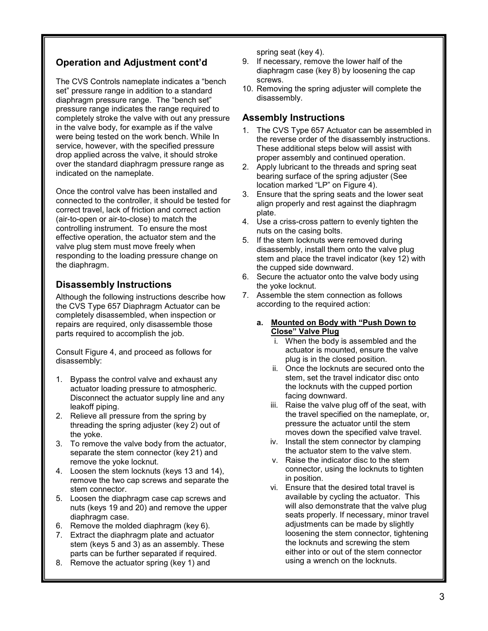### **Operation and Adjustment cont'd**

The CVS Controls nameplate indicates a "bench set" pressure range in addition to a standard diaphragm pressure range. The "bench set" pressure range indicates the range required to completely stroke the valve with out any pressure in the valve body, for example as if the valve were being tested on the work bench. While In service, however, with the specified pressure drop applied across the valve, it should stroke over the standard diaphragm pressure range as indicated on the nameplate.

Once the control valve has been installed and connected to the controller, it should be tested for correct travel, lack of friction and correct action (air-to-open or air-to-close) to match the controlling instrument. To ensure the most effective operation, the actuator stem and the valve plug stem must move freely when responding to the loading pressure change on the diaphragm.

### **Disassembly Instructions**

Although the following instructions describe how the CVS Type 657 Diaphragm Actuator can be completely disassembled, when inspection or repairs are required, only disassemble those parts required to accomplish the job.

Consult Figure 4, and proceed as follows for disassembly:

- 1. Bypass the control valve and exhaust any actuator loading pressure to atmospheric. Disconnect the actuator supply line and any leakoff piping.
- 2. Relieve all pressure from the spring by threading the spring adjuster (key 2) out of the yoke.
- 3. To remove the valve body from the actuator, separate the stem connector (key 21) and remove the yoke locknut.
- 4. Loosen the stem locknuts (keys 13 and 14), remove the two cap screws and separate the stem connector.
- 5. Loosen the diaphragm case cap screws and nuts (keys 19 and 20) and remove the upper diaphragm case.
- 6. Remove the molded diaphragm (key 6).
- 7. Extract the diaphragm plate and actuator stem (keys 5 and 3) as an assembly. These parts can be further separated if required.
- 8. Remove the actuator spring (key 1) and

spring seat (key 4).

- 9. If necessary, remove the lower half of the diaphragm case (key 8) by loosening the cap screws.
- 10. Removing the spring adjuster will complete the disassembly.

#### **Assembly Instructions**

- 1. The CVS Type 657 Actuator can be assembled in the reverse order of the disassembly instructions. These additional steps below will assist with proper assembly and continued operation.
- 2. Apply lubricant to the threads and spring seat bearing surface of the spring adjuster (See location marked "LP" on Figure 4).
- 3. Ensure that the spring seats and the lower seat align properly and rest against the diaphragm plate.
- 4. Use a criss-cross pattern to evenly tighten the nuts on the casing bolts.
- 5. If the stem locknuts were removed during disassembly, install them onto the valve plug stem and place the travel indicator (key 12) with the cupped side downward.
- 6. Secure the actuator onto the valve body using the yoke locknut.
- 7. Assemble the stem connection as follows according to the required action:

#### **a. Mounted on Body with "Push Down to Close" Valve Plug**

- i. When the body is assembled and the actuator is mounted, ensure the valve plug is in the closed position.
- ii. Once the locknuts are secured onto the stem, set the travel indicator disc onto the locknuts with the cupped portion facing downward.
- iii. Raise the valve plug off of the seat, with the travel specified on the nameplate, or, pressure the actuator until the stem moves down the specified valve travel.
- iv. Install the stem connector by clamping the actuator stem to the valve stem.
- v. Raise the indicator disc to the stem connector, using the locknuts to tighten in position.
- vi. Ensure that the desired total travel is available by cycling the actuator. This will also demonstrate that the valve plug seats properly. If necessary, minor travel adjustments can be made by slightly loosening the stem connector, tightening the locknuts and screwing the stem either into or out of the stem connector using a wrench on the locknuts.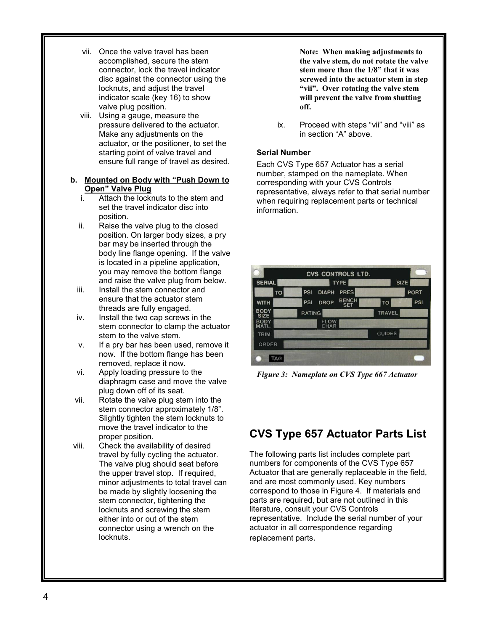- vii. Once the valve travel has been accomplished, secure the stem connector, lock the travel indicator disc against the connector using the locknuts, and adjust the travel indicator scale (key 16) to show valve plug position.
- viii. Using a gauge, measure the pressure delivered to the actuator. Make any adjustments on the actuator, or the positioner, to set the starting point of valve travel and ensure full range of travel as desired.

#### **b. Mounted on Body with "Push Down to Open" Valve Plug**

- i. Attach the locknuts to the stem and set the travel indicator disc into position.
- ii. Raise the valve plug to the closed position. On larger body sizes, a pry bar may be inserted through the body line flange opening. If the valve is located in a pipeline application, you may remove the bottom flange and raise the valve plug from below.
- iii. Install the stem connector and ensure that the actuator stem threads are fully engaged.
- iv. Install the two cap screws in the stem connector to clamp the actuator stem to the valve stem.
- v. If a pry bar has been used, remove it now. If the bottom flange has been removed, replace it now.
- vi. Apply loading pressure to the diaphragm case and move the valve plug down off of its seat.
- vii. Rotate the valve plug stem into the stem connector approximately 1/8". Slightly tighten the stem locknuts to move the travel indicator to the proper position.
- viii. Check the availability of desired travel by fully cycling the actuator. The valve plug should seat before the upper travel stop. If required, minor adjustments to total travel can be made by slightly loosening the stem connector, tightening the locknuts and screwing the stem either into or out of the stem connector using a wrench on the locknuts.

**Note: When making adjustments to the valve stem, do not rotate the valve stem more than the 1/8" that it was screwed into the actuator stem in step "vii". Over rotating the valve stem will prevent the valve from shutting off.**

ix. Proceed with steps "vii" and "viii" as in section "A" above.

#### **Serial Number**

Each CVS Type 657 Actuator has a serial number, stamped on the nameplate. When corresponding with your CVS Controls representative, always refer to that serial number when requiring replacement parts or technical information.

|                            | <b>CVS CONTROLS LTD.</b>                                |               |  |
|----------------------------|---------------------------------------------------------|---------------|--|
| <b>SERIAL</b>              | <b>TYPE</b>                                             | <b>SIZE</b>   |  |
| <b>TO</b>                  | <b>DIAPH</b><br>PSI<br><b>PRES</b>                      | <b>PORT</b>   |  |
| <b>WITH</b>                | <b>BENCH</b><br><b>DROP</b><br><b>PSI</b><br><b>SET</b> | PSI<br>TO     |  |
| <b>BODY</b><br><b>SIZE</b> | <b>RATING</b>                                           | <b>TRAVEL</b> |  |
| <b>BODY</b><br>MATL.       | <b>FLOW</b><br>CHAR                                     |               |  |
| <b>TRIM</b>                |                                                         | <b>GUIDES</b> |  |
| ORDER                      |                                                         |               |  |
| <b>TAG</b>                 |                                                         |               |  |

*Figure 3: Nameplate on CVS Type 667 Actuator*

## **CVS Type 657 Actuator Parts List**

The following parts list includes complete part numbers for components of the CVS Type 657 Actuator that are generally replaceable in the field, and are most commonly used. Key numbers correspond to those in Figure 4. If materials and parts are required, but are not outlined in this literature, consult your CVS Controls representative. Include the serial number of your actuator in all correspondence regarding replacement parts.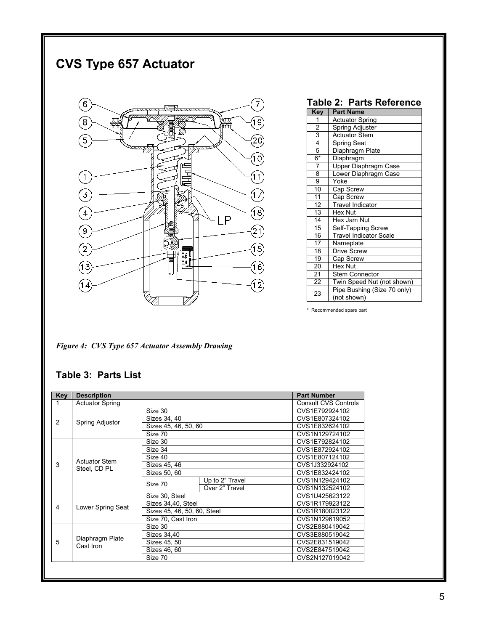# **CVS Type 657 Actuator**



|                         | Table 2:  Parts Reference                  |  |  |  |  |
|-------------------------|--------------------------------------------|--|--|--|--|
| <b>Key</b>              | <b>Part Name</b>                           |  |  |  |  |
| 1                       | <b>Actuator Spring</b>                     |  |  |  |  |
| $\overline{2}$          | Spring Adjuster                            |  |  |  |  |
| 3                       | <b>Actuator Stem</b>                       |  |  |  |  |
| $\overline{\mathbf{4}}$ | <b>Spring Seat</b>                         |  |  |  |  |
| 5                       | Diaphragm Plate                            |  |  |  |  |
| 6*                      | Diaphragm                                  |  |  |  |  |
| $\overline{7}$          | Upper Diaphragm Case                       |  |  |  |  |
| 8                       | Lower Diaphragm Case                       |  |  |  |  |
| $\overline{9}$          | Yoke                                       |  |  |  |  |
| 10                      | Cap Screw                                  |  |  |  |  |
| 11                      | Cap Screw                                  |  |  |  |  |
| 12                      | Travel Indicator                           |  |  |  |  |
| $\overline{13}$         | Hex Nut                                    |  |  |  |  |
| $\overline{14}$         | Hex Jam Nut                                |  |  |  |  |
| 15                      | Self-Tapping Screw                         |  |  |  |  |
| 16                      | <b>Travel Indicator Scale</b>              |  |  |  |  |
| 17                      | Nameplate                                  |  |  |  |  |
| 18                      | Drive Screw                                |  |  |  |  |
| 19                      | Cap Screw                                  |  |  |  |  |
| 20                      | Hex Nut                                    |  |  |  |  |
| 21                      | <b>Stem Connector</b>                      |  |  |  |  |
| 22                      | Twin Speed Nut (not shown)                 |  |  |  |  |
| 23                      | Pipe Bushing (Size 70 only)<br>(not shown) |  |  |  |  |

\* Recommended spare part

*Figure 4: CVS Type 657 Actuator Assembly Drawing*

### **Table 3: Parts List**

| <b>Key</b> | <b>Description</b>                   |                             |                 | <b>Part Number</b>          |
|------------|--------------------------------------|-----------------------------|-----------------|-----------------------------|
| 1          | <b>Actuator Spring</b>               |                             |                 | <b>Consult CVS Controls</b> |
| 2          | Spring Adjustor                      | Size 30                     |                 | CVS1E792924102              |
|            |                                      | Sizes 34, 40                |                 | CVS1E807324102              |
|            |                                      | Sizes 45, 46, 50, 60        |                 | CVS1E832624102              |
|            |                                      | Size 70                     |                 | CVS1N129724102              |
|            |                                      | Size 30                     |                 | CVS1E792824102              |
|            |                                      | Size 34                     |                 | CVS1E872924102              |
|            |                                      | Size 40                     | CVS1E807124102  |                             |
| 3          | <b>Actuator Stem</b><br>Steel, CD PL | Sizes 45, 46                | CVS1J332924102  |                             |
|            |                                      | Sizes 50, 60                |                 | CVS1E832424102              |
|            |                                      | Size 70                     | Up to 2" Travel | CVS1N129424102              |
|            |                                      |                             | Over 2" Travel  | CVS1N132524102              |
|            | Lower Spring Seat                    | Size 30, Steel              | CVS1U425623122  |                             |
| 4          |                                      | Sizes 34,40, Steel          |                 | CVS1R179923122              |
|            |                                      | Sizes 45, 46, 50, 60, Steel |                 | CVS1R180023122              |
|            |                                      | Size 70, Cast Iron          | CVS1N129619052  |                             |
|            | Diaphragm Plate<br>Cast Iron         | Size 30                     | CVS2E880419042  |                             |
| 5          |                                      | Sizes 34,40                 | CVS3E880519042  |                             |
|            |                                      | Sizes 45, 50                | CVS2E831519042  |                             |
|            |                                      | Sizes 46, 60                |                 | CVS2E847519042              |
|            |                                      | Size 70                     | CVS2N127019042  |                             |
|            |                                      |                             |                 |                             |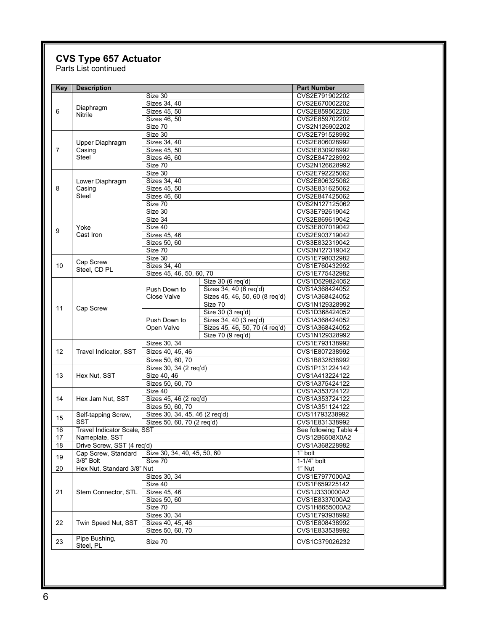## **CVS Type 657 Actuator**

Parts List continued

| Key | <b>Description</b>          |                                |                                                     | <b>Part Number</b>               |  |
|-----|-----------------------------|--------------------------------|-----------------------------------------------------|----------------------------------|--|
|     |                             | Size 30                        | CVS2E791902202                                      |                                  |  |
| 6   |                             | Sizes 34, 40                   | CVS2E670002202                                      |                                  |  |
|     | Diaphragm                   | Sizes 45, 50                   | CVS2E859502202                                      |                                  |  |
|     | Nitrile                     | Sizes 46, 50                   | CVS2E859702202                                      |                                  |  |
|     |                             | Size 70                        |                                                     | CVS2N126902202                   |  |
|     |                             | Size 30                        |                                                     | CVS2E791528992                   |  |
|     | Upper Diaphragm             | Sizes 34, 40                   |                                                     | CVS2E806028992                   |  |
| 7   | Casing                      | Sizes 45, 50                   | CVS3E830928992                                      |                                  |  |
|     | <b>Steel</b>                | Sizes 46, 60                   | CVS2E847228992                                      |                                  |  |
|     |                             | Size 70                        | CVS2N126628992                                      |                                  |  |
|     |                             | Size 30                        |                                                     | CVS2E792225062                   |  |
|     |                             | Sizes 34, 40                   |                                                     | CVS2E806325062                   |  |
|     | Lower Diaphragm             |                                |                                                     |                                  |  |
| 8   | Casing                      | Sizes 45, 50                   | CVS3E831625062                                      |                                  |  |
|     | <b>Steel</b>                | Sizes 46, 60                   |                                                     | CVS2E847425062                   |  |
|     |                             | Size 70                        |                                                     | CVS2N127125062                   |  |
|     |                             | Size 30                        |                                                     | CVS3E792619042                   |  |
|     |                             | Size 34                        |                                                     | CVS2E869619042                   |  |
| 9   | Yoke                        | Size 40                        |                                                     | CVS3E807019042                   |  |
|     | Cast Iron                   | Sizes 45, 46                   |                                                     | CVS2E903719042                   |  |
|     |                             | Sizes 50, 60                   |                                                     | CVS3E832319042                   |  |
|     |                             | Size 70                        |                                                     | CVS3N127319042                   |  |
|     |                             | Size 30                        |                                                     | CVS1E798032982                   |  |
| 10  | Cap Screw                   | Sizes 34, 40                   |                                                     | CVS1E760432992                   |  |
|     | Steel, CD PL                | Sizes 45, 46, 50, 60, 70       |                                                     | CVS1E775432982                   |  |
|     |                             |                                | Size 30 (6 req'd)                                   | CVS1D529824052                   |  |
|     |                             | Push Down to                   | Sizes 34, 40 (6 reg'd)                              | CVS1A368424052                   |  |
|     |                             | Close Valve                    | Sizes 45, 46, 50, 60 (8 req'd)                      | CVS1A368424052                   |  |
|     |                             |                                | Size 70                                             | CVS1N129328992                   |  |
| 11  | Cap Screw                   |                                | Size 30 (3 req'd)                                   | CVS1D368424052                   |  |
|     |                             | Push Down to                   |                                                     |                                  |  |
|     |                             |                                | Sizes 34, 40 (3 req'd)                              | CVS1A368424052                   |  |
|     |                             | Open Valve                     | Sizes 45, 46, 50, 70 (4 req'd)<br>Size 70 (9 req'd) | CVS1A368424052<br>CVS1N129328992 |  |
|     |                             |                                |                                                     |                                  |  |
|     |                             | Sizes 30, 34                   | CVS1E793138992                                      |                                  |  |
| 12  | Travel Indicator, SST       | Sizes 40, 45, 46               |                                                     | CVS1E807238992                   |  |
|     |                             | Sizes 50, 60, 70               |                                                     | CVS1B832838992                   |  |
|     |                             | Sizes 30, 34 (2 req'd)         | CVS1P131224142                                      |                                  |  |
| 13  | Hex Nut, SST                | Size 40, 46                    | CVS1A413224122                                      |                                  |  |
|     |                             | Sizes 50, 60, 70               | CVS1A375424122                                      |                                  |  |
|     |                             | Size 40                        | CVS1A353724122                                      |                                  |  |
| 14  | Hex Jam Nut, SST            | Sizes 45, 46 (2 req'd)         | CVS1A353724122                                      |                                  |  |
|     |                             | Sizes 50, 60, 70               | CVS1A351124122                                      |                                  |  |
|     | Self-tapping Screw,         | Sizes 30, 34, 45, 46 (2 req'd) | CVS11793238992                                      |                                  |  |
| 15  | SST                         | Sizes 50, 60, 70 (2 reg'd)     | CVS1E831338992                                      |                                  |  |
| 16  | Travel Indicator Scale, SST |                                | See following Table 4                               |                                  |  |
| 17  | Nameplate, SST              |                                |                                                     | CVS12B6508X0A2                   |  |
| 18  | Drive Screw, SST (4 req'd)  |                                |                                                     |                                  |  |
|     |                             | Size 30, 34, 40, 45, 50, 60    |                                                     | CVS1A368228982<br>1" bolt        |  |
| 19  | Cap Screw, Standard         |                                |                                                     |                                  |  |
|     | 3/8" Bolt                   | Size 70                        | $1-1/4$ " bolt                                      |                                  |  |
| 20  | Hex Nut, Standard 3/8" Nut  |                                | 1" Nut                                              |                                  |  |
|     | Stem Connector, STL         | Sizes 30, 34                   | CVS1E7977000A2                                      |                                  |  |
|     |                             | Size 40                        | CVS1F659225142                                      |                                  |  |
| 21  |                             | Sizes 45, 46                   | CVS1J3330000A2                                      |                                  |  |
|     |                             | Sizes 50, 60                   | CVS1E8337000A2                                      |                                  |  |
|     |                             | Size 70                        | CVS1H8655000A2                                      |                                  |  |
|     |                             | Sizes 30, 34                   | CVS1E793938992                                      |                                  |  |
| 22  | Twin Speed Nut, SST         | Sizes 40, 45, 46               | CVS1E808438992                                      |                                  |  |
|     |                             | Sizes 50, 60, 70               | CVS1E833538992                                      |                                  |  |
|     | Pipe Bushing,               |                                |                                                     |                                  |  |
| 23  | Steel, PL                   | Size 70                        |                                                     | CVS1C379026232                   |  |
|     |                             |                                |                                                     |                                  |  |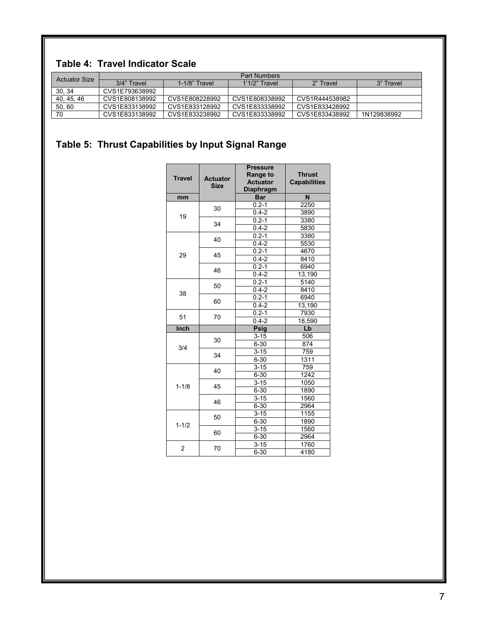### **Table 4: Travel Indicator Scale**

| <b>Actuator Size</b> | <b>Part Numbers</b> |                  |                 |                |             |  |
|----------------------|---------------------|------------------|-----------------|----------------|-------------|--|
|                      | 3/4" Travel         | $1-1/8$ " Travel | $1'1/2"$ Travel | 2" Travel      | 3" Travel   |  |
| 30, 34               | CVS1E793638992      |                  |                 |                |             |  |
| 40, 45, 46           | CVS1E808138992      | CVS1E808228992   | CVS1E808338992  | CVS1R444538982 |             |  |
| 50,60                | CVS1E833138992      | CVS1E833128992   | CVS1E833338992  | CVS1E833428992 |             |  |
| 70                   | CVS1E833138992      | CVS1E833238992   | CVS1E833338992  | CVS1E833438992 | 1N129838992 |  |

# **Table 5: Thrust Capabilities by Input Signal Range**

| <b>Travel</b>  | <b>Actuator</b><br><b>Size</b> | <b>Pressure</b><br><b>Range to</b><br><b>Actuator</b><br><b>Diaphragm</b> | <b>Thrust</b><br><b>Capabilities</b> |
|----------------|--------------------------------|---------------------------------------------------------------------------|--------------------------------------|
| mm             |                                | <b>Bar</b>                                                                | N                                    |
|                | 30                             | $0.2 - 1$                                                                 | 2250                                 |
| 19             |                                | $0.4 - 2$                                                                 | 3890                                 |
|                | 34                             | $0.2 - 1$                                                                 | 3380                                 |
|                |                                | $0.4 - 2$                                                                 | 5830                                 |
|                | 40                             | $0.2 - 1$                                                                 | 3380                                 |
|                |                                | $0.4 - 2$                                                                 | 5530                                 |
| 29             | 45                             | $0.2 - 1$                                                                 | 4670                                 |
|                |                                | $0.4 - 2$                                                                 | 8410                                 |
|                | 46                             | $0.2 - 1$                                                                 | 6940                                 |
|                |                                | $0.4 - 2$                                                                 | 13,190                               |
|                |                                | $0.2 - 1$                                                                 | 5140                                 |
| 38             | 50                             | $0.4 - 2$                                                                 | 8410                                 |
|                |                                | $0.2 - 1$                                                                 | 6940                                 |
|                | 60                             | $0.4 - 2$                                                                 | 13,190                               |
| 51             | 70                             | $0.2 - 1$                                                                 | 7930                                 |
|                |                                | $0.4 - 2$                                                                 | 18,590                               |
| Inch           |                                | <b>Psig</b>                                                               | Lb                                   |
|                | 30                             | $3 - 15$                                                                  | 506                                  |
| 3/4            |                                | $6 - 30$                                                                  | 874                                  |
|                | 34                             | $3 - 15$                                                                  | 759                                  |
|                |                                | $6 - 30$                                                                  | 1311                                 |
|                | 40                             | $3 - 15$                                                                  | 759                                  |
|                |                                | $6 - 30$                                                                  | 1242                                 |
| $1 - 1/8$      | 45                             | $3 - 15$                                                                  | 1050                                 |
|                |                                | $6 - 30$                                                                  | 1890                                 |
|                | 46                             | $3 - 15$                                                                  | 1560                                 |
|                |                                | $6 - 30$                                                                  | 2964                                 |
| $1 - 1/2$      | 50                             | $3 - 15$                                                                  | 1155                                 |
|                |                                | $6 - 30$                                                                  | 1890                                 |
|                | 60                             | $3 - 15$                                                                  | 1560                                 |
|                |                                | $6 - 30$                                                                  | 2964                                 |
| $\overline{2}$ | 70                             | $3 - 15$                                                                  | 1760                                 |
|                |                                | $6 - 30$                                                                  | 4180                                 |